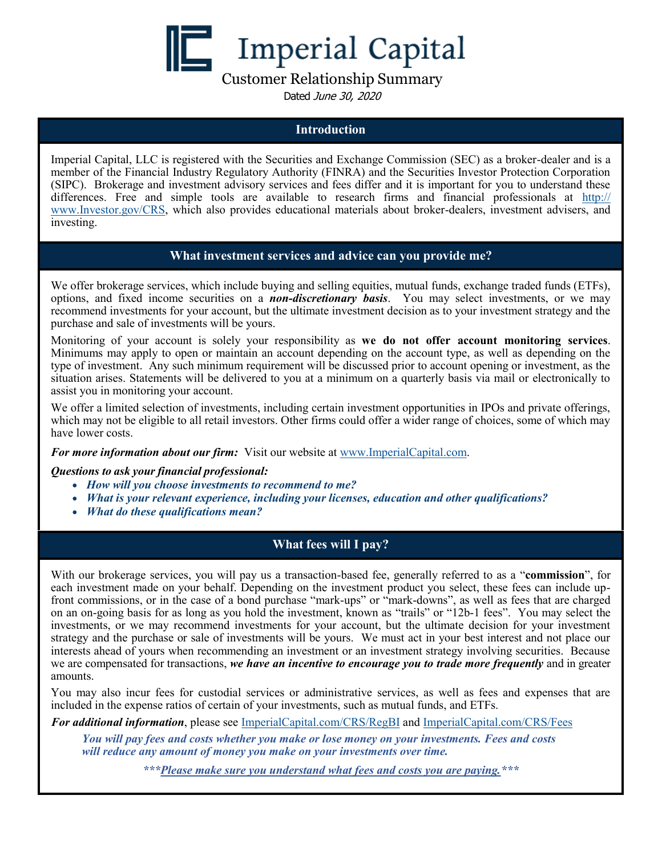**Imperial Capital** 

Customer Relationship Summary

Dated June 30, 2020

### **Introduction**

Imperial Capital, LLC is registered with the Securities and Exchange Commission (SEC) as a broker-dealer and is a member of the Financial Industry Regulatory Authority (FINRA) and the Securities Investor Protection Corporation (SIPC). Brokerage and investment advisory services and fees differ and it is important for you to understand these differences. Free and simple tools are available to research firms and financial professionals at [http://](http://www.Investor.gov/CRS) [www.Investor.gov/CRS,](http://www.Investor.gov/CRS) which also provides educational materials about broker-dealers, investment advisers, and investing.

## **What investment services and advice can you provide me?**

We offer brokerage services, which include buying and selling equities, mutual funds, exchange traded funds (ETFs), options, and fixed income securities on a *non-discretionary basis*. You may select investments, or we may recommend investments for your account, but the ultimate investment decision as to your investment strategy and the purchase and sale of investments will be yours.

Monitoring of your account is solely your responsibility as **we do not offer account monitoring services**. Minimums may apply to open or maintain an account depending on the account type, as well as depending on the type of investment. Any such minimum requirement will be discussed prior to account opening or investment, as the situation arises. Statements will be delivered to you at a minimum on a quarterly basis via mail or electronically to assist you in monitoring your account.

We offer a limited selection of investments, including certain investment opportunities in IPOs and private offerings, which may not be eligible to all retail investors. Other firms could offer a wider range of choices, some of which may have lower costs.

### *For more information about our firm:* Visit our website at [www.ImperialCapital.com.](http://www.ImperialCapital.com)

### *Questions to ask your financial professional:*

- *How will you choose investments to recommend to me?*
- *What is your relevant experience, including your licenses, education and other qualifications?*
- *What do these qualifications mean?*

# **What fees will I pay?**

With our brokerage services, you will pay us a transaction-based fee, generally referred to as a "**commission**", for each investment made on your behalf. Depending on the investment product you select, these fees can include upfront commissions, or in the case of a bond purchase "mark-ups" or "mark-downs", as well as fees that are charged on an on-going basis for as long as you hold the investment, known as "trails" or "12b-1 fees". You may select the investments, or we may recommend investments for your account, but the ultimate decision for your investment strategy and the purchase or sale of investments will be yours. We must act in your best interest and not place our interests ahead of yours when recommending an investment or an investment strategy involving securities. Because we are compensated for transactions, *we have an incentive to encourage you to trade more frequently* and in greater amounts.

You may also incur fees for custodial services or administrative services, as well as fees and expenses that are included in the expense ratios of certain of your investments, such as mutual funds, and ETFs.

*For additional information*, please see [ImperialCapital.com/](http://www.imperialcapital.com/CRS/RegBI)CRS/RegBI [and ImperialCapital.com/](http://www.imperialcapital.com/CRS/Fees)CRS/Fees

*You will pay fees and costs whether you make or lose money on your investments. Fees and costs will reduce any amount of money you make on your investments over time.* 

*\*\*\*Please make sure you understand what fees and costs you are paying.\*\*\**